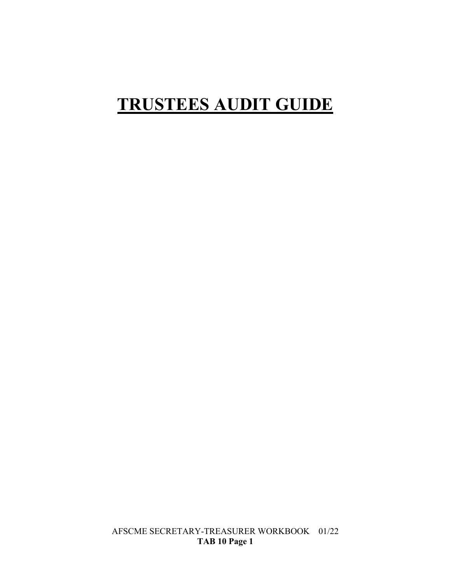# **TRUSTEES AUDIT GUIDE**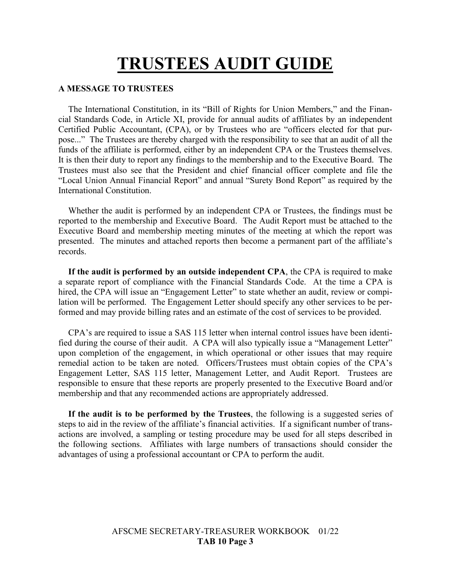# **TRUSTEES AUDIT GUIDE**

#### **A MESSAGE TO TRUSTEES**

The International Constitution, in its "Bill of Rights for Union Members," and the Financial Standards Code, in Article XI, provide for annual audits of affiliates by an independent Certified Public Accountant, (CPA), or by Trustees who are "officers elected for that purpose..." The Trustees are thereby charged with the responsibility to see that an audit of all the funds of the affiliate is performed, either by an independent CPA or the Trustees themselves. It is then their duty to report any findings to the membership and to the Executive Board. The Trustees must also see that the President and chief financial officer complete and file the "Local Union Annual Financial Report" and annual "Surety Bond Report" as required by the International Constitution.

Whether the audit is performed by an independent CPA or Trustees, the findings must be reported to the membership and Executive Board. The Audit Report must be attached to the Executive Board and membership meeting minutes of the meeting at which the report was presented. The minutes and attached reports then become a permanent part of the affiliate's records.

**If the audit is performed by an outside independent CPA**, the CPA is required to make a separate report of compliance with the Financial Standards Code. At the time a CPA is hired, the CPA will issue an "Engagement Letter" to state whether an audit, review or compilation will be performed. The Engagement Letter should specify any other services to be performed and may provide billing rates and an estimate of the cost of services to be provided.

CPA's are required to issue a SAS 115 letter when internal control issues have been identified during the course of their audit. A CPA will also typically issue a "Management Letter" upon completion of the engagement, in which operational or other issues that may require remedial action to be taken are noted. Officers/Trustees must obtain copies of the CPA's Engagement Letter, SAS 115 letter, Management Letter, and Audit Report. Trustees are responsible to ensure that these reports are properly presented to the Executive Board and/or membership and that any recommended actions are appropriately addressed.

**If the audit is to be performed by the Trustees**, the following is a suggested series of steps to aid in the review of the affiliate's financial activities. If a significant number of transactions are involved, a sampling or testing procedure may be used for all steps described in the following sections. Affiliates with large numbers of transactions should consider the advantages of using a professional accountant or CPA to perform the audit.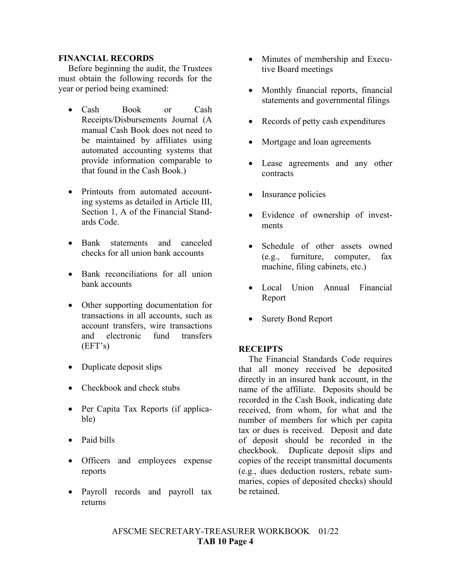#### **FINANCIAL RECORDS**

Before beginning the audit, the Trustees must obtain the following records for the year or period being examined:

- Cash Book or Cash Receipts/Disbursements Journal (A manual Cash Book does not need to be maintained by affiliates using automated accounting systems that provide information comparable to that found in the Cash Book.)
- Printouts from automated accounting systems as detailed in Article III, Section 1, A of the Financial Standards Code.
- Bank statements and canceled checks for all union bank accounts
- Bank reconciliations for all union bank accounts
- Other supporting documentation for transactions in all accounts, such as account transfers, wire transactions and electronic fund transfers (EFT's)
- Duplicate deposit slips
- Checkbook and check stubs
- Per Capita Tax Reports (if applicable)
- Paid bills
- Officers and employees expense reports
- Payroll records and payroll tax returns
- Minutes of membership and Executive Board meetings
- Monthly financial reports, financial statements and governmental filings
- Records of petty cash expenditures
- Mortgage and loan agreements
- Lease agreements and any other contracts
- Insurance policies
- Evidence of ownership of investments
- Schedule of other assets owned (e.g., furniture, computer, fax machine, filing cabinets, etc.)
- Local Union Annual Financial Report
- Surety Bond Report

### **RECEIPTS**

The Financial Standards Code requires that all money received be deposited directly in an insured bank account, in the name of the affiliate. Deposits should be recorded in the Cash Book, indicating date received, from whom, for what and the number of members for which per capita tax or dues is received. Deposit and date of deposit should be recorded in the checkbook. Duplicate deposit slips and copies of the receipt transmittal documents (e.g., dues deduction rosters, rebate summaries, copies of deposited checks) should be retained.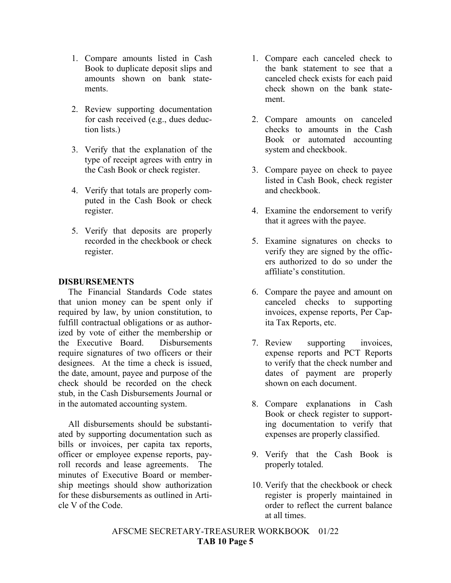- 1. Compare amounts listed in Cash Book to duplicate deposit slips and amounts shown on bank statements.
- 2. Review supporting documentation for cash received (e.g., dues deduction lists.)
- 3. Verify that the explanation of the type of receipt agrees with entry in the Cash Book or check register.
- 4. Verify that totals are properly computed in the Cash Book or check register.
- 5. Verify that deposits are properly recorded in the checkbook or check register.

### **DISBURSEMENTS**

The Financial Standards Code states that union money can be spent only if required by law, by union constitution, to fulfill contractual obligations or as authorized by vote of either the membership or the Executive Board. Disbursements require signatures of two officers or their designees. At the time a check is issued, the date, amount, payee and purpose of the check should be recorded on the check stub, in the Cash Disbursements Journal or in the automated accounting system.

All disbursements should be substantiated by supporting documentation such as bills or invoices, per capita tax reports, officer or employee expense reports, payroll records and lease agreements. The minutes of Executive Board or membership meetings should show authorization for these disbursements as outlined in Article V of the Code.

- 1. Compare each canceled check to the bank statement to see that a canceled check exists for each paid check shown on the bank statement.
- 2. Compare amounts on canceled checks to amounts in the Cash Book or automated accounting system and checkbook.
- 3. Compare payee on check to payee listed in Cash Book, check register and checkbook.
- 4. Examine the endorsement to verify that it agrees with the payee.
- 5. Examine signatures on checks to verify they are signed by the officers authorized to do so under the affiliate's constitution.
- 6. Compare the payee and amount on canceled checks to supporting invoices, expense reports, Per Capita Tax Reports, etc.
- 7. Review supporting invoices, expense reports and PCT Reports to verify that the check number and dates of payment are properly shown on each document.
- 8. Compare explanations in Cash Book or check register to supporting documentation to verify that expenses are properly classified.
- 9. Verify that the Cash Book is properly totaled.
- 10. Verify that the checkbook or check register is properly maintained in order to reflect the current balance at all times.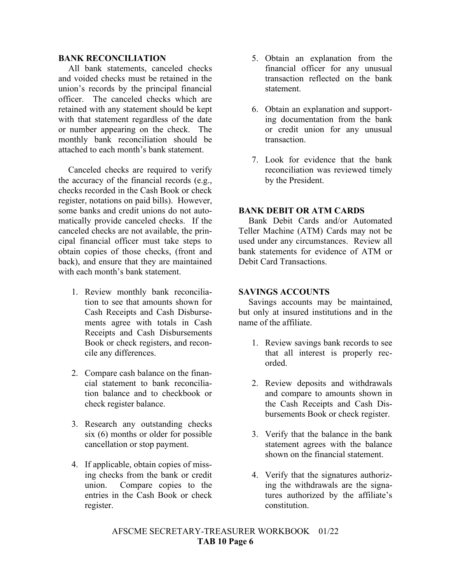#### **BANK RECONCILIATION**

All bank statements, canceled checks and voided checks must be retained in the union's records by the principal financial officer. The canceled checks which are retained with any statement should be kept with that statement regardless of the date or number appearing on the check. The monthly bank reconciliation should be attached to each month's bank statement.

Canceled checks are required to verify the accuracy of the financial records (e.g., checks recorded in the Cash Book or check register, notations on paid bills). However, some banks and credit unions do not automatically provide canceled checks. If the canceled checks are not available, the principal financial officer must take steps to obtain copies of those checks, (front and back), and ensure that they are maintained with each month's bank statement.

- 1. Review monthly bank reconciliation to see that amounts shown for Cash Receipts and Cash Disbursements agree with totals in Cash Receipts and Cash Disbursements Book or check registers, and reconcile any differences.
- 2. Compare cash balance on the financial statement to bank reconciliation balance and to checkbook or check register balance.
- 3. Research any outstanding checks six (6) months or older for possible cancellation or stop payment.
- 4. If applicable, obtain copies of missing checks from the bank or credit union. Compare copies to the entries in the Cash Book or check register.
- 5. Obtain an explanation from the financial officer for any unusual transaction reflected on the bank statement.
- 6. Obtain an explanation and supporting documentation from the bank or credit union for any unusual transaction.
- 7. Look for evidence that the bank reconciliation was reviewed timely by the President.

#### **BANK DEBIT OR ATM CARDS**

Bank Debit Cards and/or Automated Teller Machine (ATM) Cards may not be used under any circumstances. Review all bank statements for evidence of ATM or Debit Card Transactions.

#### **SAVINGS ACCOUNTS**

Savings accounts may be maintained, but only at insured institutions and in the name of the affiliate.

- 1. Review savings bank records to see that all interest is properly recorded.
- 2. Review deposits and withdrawals and compare to amounts shown in the Cash Receipts and Cash Disbursements Book or check register.
- 3. Verify that the balance in the bank statement agrees with the balance shown on the financial statement.
- 4. Verify that the signatures authorizing the withdrawals are the signatures authorized by the affiliate's constitution.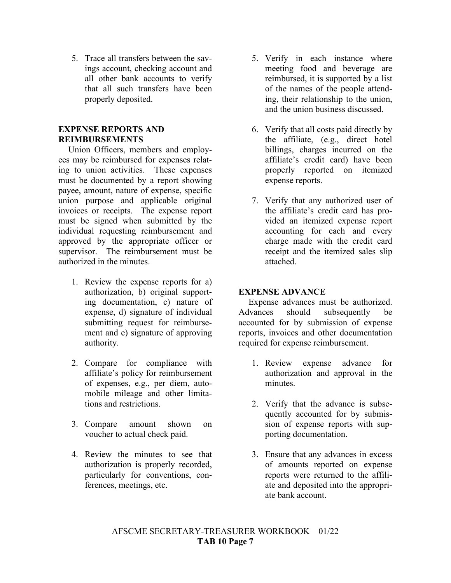5. Trace all transfers between the savings account, checking account and all other bank accounts to verify that all such transfers have been properly deposited.

### **EXPENSE REPORTS AND REIMBURSEMENTS**

Union Officers, members and employees may be reimbursed for expenses relating to union activities. These expenses must be documented by a report showing payee, amount, nature of expense, specific union purpose and applicable original invoices or receipts. The expense report must be signed when submitted by the individual requesting reimbursement and approved by the appropriate officer or supervisor. The reimbursement must be authorized in the minutes.

- 1. Review the expense reports for a) authorization, b) original supporting documentation, c) nature of expense, d) signature of individual submitting request for reimbursement and e) signature of approving authority.
- 2. Compare for compliance with affiliate's policy for reimbursement of expenses, e.g., per diem, automobile mileage and other limitations and restrictions.
- 3. Compare amount shown on voucher to actual check paid.
- 4. Review the minutes to see that authorization is properly recorded, particularly for conventions, conferences, meetings, etc.
- 5. Verify in each instance where meeting food and beverage are reimbursed, it is supported by a list of the names of the people attending, their relationship to the union, and the union business discussed.
- 6. Verify that all costs paid directly by the affiliate, (e.g., direct hotel billings, charges incurred on the affiliate's credit card) have been properly reported on itemized expense reports.
- 7. Verify that any authorized user of the affiliate's credit card has provided an itemized expense report accounting for each and every charge made with the credit card receipt and the itemized sales slip attached.

## **EXPENSE ADVANCE**

Expense advances must be authorized. Advances should subsequently be accounted for by submission of expense reports, invoices and other documentation required for expense reimbursement.

- 1. Review expense advance for authorization and approval in the minutes.
- 2. Verify that the advance is subsequently accounted for by submission of expense reports with supporting documentation.
- 3. Ensure that any advances in excess of amounts reported on expense reports were returned to the affiliate and deposited into the appropriate bank account.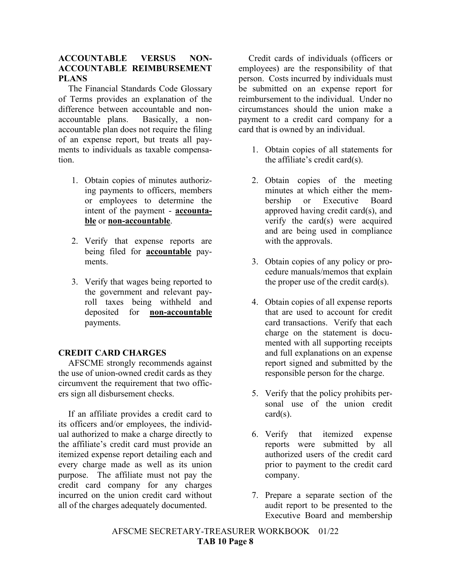## **ACCOUNTABLE VERSUS NON-ACCOUNTABLE REIMBURSEMENT PLANS**

The Financial Standards Code Glossary of Terms provides an explanation of the difference between accountable and nonaccountable plans. Basically, a nonaccountable plan does not require the filing of an expense report, but treats all payments to individuals as taxable compensation.

- 1. Obtain copies of minutes authorizing payments to officers, members or employees to determine the intent of the payment - **accountable** or **non-accountable**.
- 2. Verify that expense reports are being filed for **accountable** payments.
- 3. Verify that wages being reported to the government and relevant payroll taxes being withheld and deposited for **non-accountable** payments.

# **CREDIT CARD CHARGES**

AFSCME strongly recommends against the use of union-owned credit cards as they circumvent the requirement that two officers sign all disbursement checks.

If an affiliate provides a credit card to its officers and/or employees, the individual authorized to make a charge directly to the affiliate's credit card must provide an itemized expense report detailing each and every charge made as well as its union purpose. The affiliate must not pay the credit card company for any charges incurred on the union credit card without all of the charges adequately documented.

Credit cards of individuals (officers or employees) are the responsibility of that person. Costs incurred by individuals must be submitted on an expense report for reimbursement to the individual. Under no circumstances should the union make a payment to a credit card company for a card that is owned by an individual.

- 1. Obtain copies of all statements for the affiliate's credit card(s).
- 2. Obtain copies of the meeting minutes at which either the membership or Executive Board approved having credit card(s), and verify the card(s) were acquired and are being used in compliance with the approvals.
- 3. Obtain copies of any policy or procedure manuals/memos that explain the proper use of the credit card(s).
- 4. Obtain copies of all expense reports that are used to account for credit card transactions. Verify that each charge on the statement is documented with all supporting receipts and full explanations on an expense report signed and submitted by the responsible person for the charge.
- 5. Verify that the policy prohibits personal use of the union credit card(s).
- 6. Verify that itemized expense reports were submitted by all authorized users of the credit card prior to payment to the credit card company.
- 7. Prepare a separate section of the audit report to be presented to the Executive Board and membership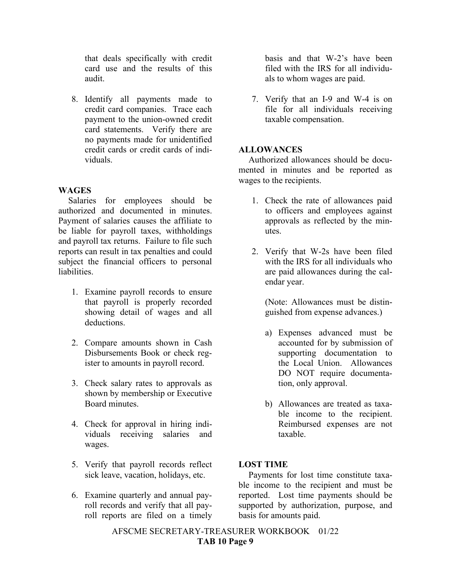that deals specifically with credit card use and the results of this audit.

8. Identify all payments made to credit card companies. Trace each payment to the union-owned credit card statements. Verify there are no payments made for unidentified credit cards or credit cards of individuals.

# **WAGES**

Salaries for employees should be authorized and documented in minutes. Payment of salaries causes the affiliate to be liable for payroll taxes, withholdings and payroll tax returns. Failure to file such reports can result in tax penalties and could subject the financial officers to personal liabilities.

- 1. Examine payroll records to ensure that payroll is properly recorded showing detail of wages and all deductions.
- 2. Compare amounts shown in Cash Disbursements Book or check register to amounts in payroll record.
- 3. Check salary rates to approvals as shown by membership or Executive Board minutes.
- 4. Check for approval in hiring individuals receiving salaries and wages.
- 5. Verify that payroll records reflect sick leave, vacation, holidays, etc.
- 6. Examine quarterly and annual payroll records and verify that all payroll reports are filed on a timely

basis and that W-2's have been filed with the IRS for all individuals to whom wages are paid.

7. Verify that an I-9 and W-4 is on file for all individuals receiving taxable compensation.

## **ALLOWANCES**

Authorized allowances should be documented in minutes and be reported as wages to the recipients.

- 1. Check the rate of allowances paid to officers and employees against approvals as reflected by the minutes.
- 2. Verify that W-2s have been filed with the IRS for all individuals who are paid allowances during the calendar year.

(Note: Allowances must be distinguished from expense advances.)

- a) Expenses advanced must be accounted for by submission of supporting documentation to the Local Union. Allowances DO NOT require documentation, only approval.
- b) Allowances are treated as taxable income to the recipient. Reimbursed expenses are not taxable.

### **LOST TIME**

Payments for lost time constitute taxable income to the recipient and must be reported. Lost time payments should be supported by authorization, purpose, and basis for amounts paid.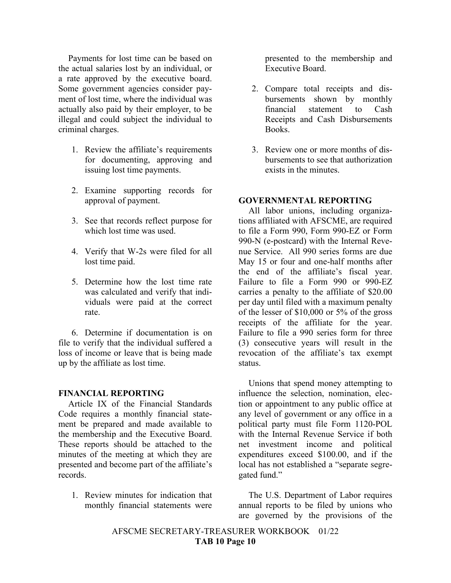Payments for lost time can be based on the actual salaries lost by an individual, or a rate approved by the executive board. Some government agencies consider payment of lost time, where the individual was actually also paid by their employer, to be illegal and could subject the individual to criminal charges.

- 1. Review the affiliate's requirements for documenting, approving and issuing lost time payments.
- 2. Examine supporting records for approval of payment.
- 3. See that records reflect purpose for which lost time was used.
- 4. Verify that W-2s were filed for all lost time paid.
- 5. Determine how the lost time rate was calculated and verify that individuals were paid at the correct rate.

6. Determine if documentation is on file to verify that the individual suffered a loss of income or leave that is being made up by the affiliate as lost time.

#### **FINANCIAL REPORTING**

Article IX of the Financial Standards Code requires a monthly financial statement be prepared and made available to the membership and the Executive Board. These reports should be attached to the minutes of the meeting at which they are presented and become part of the affiliate's records.

1. Review minutes for indication that monthly financial statements were presented to the membership and Executive Board.

- 2. Compare total receipts and disbursements shown by monthly financial statement to Cash Receipts and Cash Disbursements Books.
- 3. Review one or more months of disbursements to see that authorization exists in the minutes.

#### **GOVERNMENTAL REPORTING**

All labor unions, including organizations affiliated with AFSCME, are required to file a Form 990, Form 990-EZ or Form 990-N (e-postcard) with the Internal Revenue Service. All 990 series forms are due May 15 or four and one-half months after the end of the affiliate's fiscal year. Failure to file a Form 990 or 990-EZ carries a penalty to the affiliate of \$20.00 per day until filed with a maximum penalty of the lesser of \$10,000 or 5% of the gross receipts of the affiliate for the year. Failure to file a 990 series form for three (3) consecutive years will result in the revocation of the affiliate's tax exempt status.

Unions that spend money attempting to influence the selection, nomination, election or appointment to any public office at any level of government or any office in a political party must file Form 1120-POL with the Internal Revenue Service if both net investment income and political expenditures exceed \$100.00, and if the local has not established a "separate segregated fund."

The U.S. Department of Labor requires annual reports to be filed by unions who are governed by the provisions of the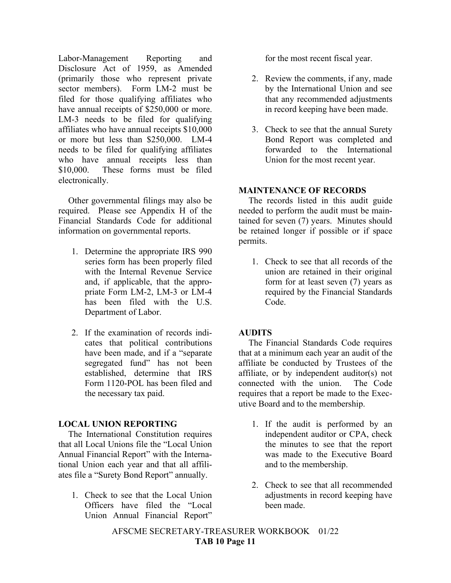Labor-Management Reporting and Disclosure Act of 1959, as Amended (primarily those who represent private sector members). Form LM-2 must be filed for those qualifying affiliates who have annual receipts of \$250,000 or more. LM-3 needs to be filed for qualifying affiliates who have annual receipts \$10,000 or more but less than \$250,000. LM-4 needs to be filed for qualifying affiliates who have annual receipts less than \$10,000. These forms must be filed electronically.

Other governmental filings may also be required. Please see Appendix H of the Financial Standards Code for additional information on governmental reports.

- 1. Determine the appropriate IRS 990 series form has been properly filed with the Internal Revenue Service and, if applicable, that the appropriate Form LM-2, LM-3 or LM-4 has been filed with the U.S. Department of Labor.
- 2. If the examination of records indicates that political contributions have been made, and if a "separate segregated fund" has not been established, determine that IRS Form 1120-POL has been filed and the necessary tax paid.

# **LOCAL UNION REPORTING**

The International Constitution requires that all Local Unions file the "Local Union Annual Financial Report" with the International Union each year and that all affiliates file a "Surety Bond Report" annually.

1. Check to see that the Local Union Officers have filed the "Local Union Annual Financial Report" for the most recent fiscal year.

- 2. Review the comments, if any, made by the International Union and see that any recommended adjustments in record keeping have been made.
- 3. Check to see that the annual Surety Bond Report was completed and forwarded to the International Union for the most recent year.

# **MAINTENANCE OF RECORDS**

The records listed in this audit guide needed to perform the audit must be maintained for seven (7) years. Minutes should be retained longer if possible or if space permits.

1. Check to see that all records of the union are retained in their original form for at least seven (7) years as required by the Financial Standards Code.

# **AUDITS**

The Financial Standards Code requires that at a minimum each year an audit of the affiliate be conducted by Trustees of the affiliate, or by independent auditor(s) not connected with the union. The Code requires that a report be made to the Executive Board and to the membership.

- 1. If the audit is performed by an independent auditor or CPA, check the minutes to see that the report was made to the Executive Board and to the membership.
- 2. Check to see that all recommended adjustments in record keeping have been made.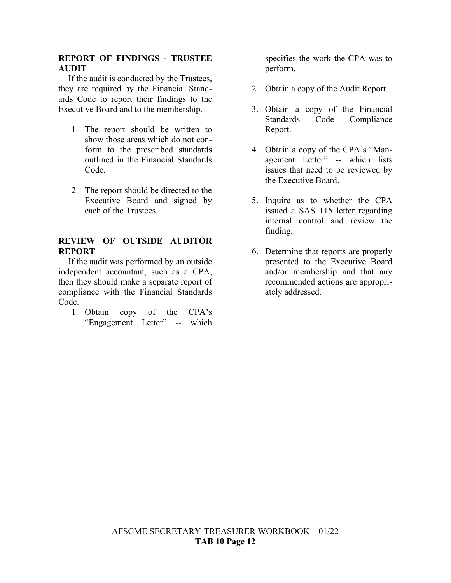### **REPORT OF FINDINGS - TRUSTEE AUDIT**

If the audit is conducted by the Trustees, they are required by the Financial Standards Code to report their findings to the Executive Board and to the membership.

- 1. The report should be written to show those areas which do not conform to the prescribed standards outlined in the Financial Standards Code.
- 2. The report should be directed to the Executive Board and signed by each of the Trustees.

## **REVIEW OF OUTSIDE AUDITOR REPORT**

If the audit was performed by an outside independent accountant, such as a CPA, then they should make a separate report of compliance with the Financial Standards Code.

1. Obtain copy of the CPA's "Engagement Letter" -- which

specifies the work the CPA was to perform.

- 2. Obtain a copy of the Audit Report.
- 3. Obtain a copy of the Financial Standards Code Compliance Report.
- 4. Obtain a copy of the CPA's "Management Letter" -- which lists issues that need to be reviewed by the Executive Board.
- 5. Inquire as to whether the CPA issued a SAS 115 letter regarding internal control and review the finding.
- 6. Determine that reports are properly presented to the Executive Board and/or membership and that any recommended actions are appropriately addressed.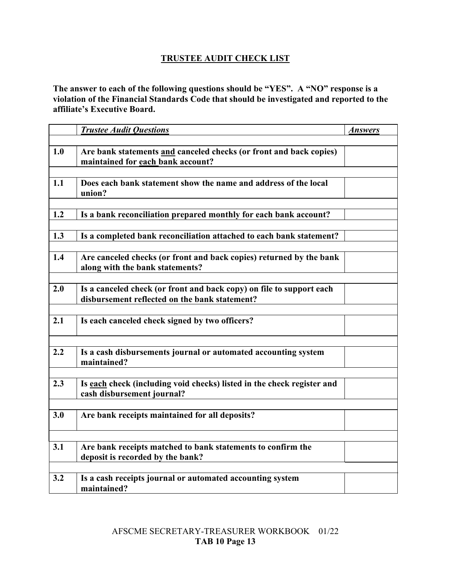# **TRUSTEE AUDIT CHECK LIST**

**The answer to each of the following questions should be "YES". A "NO" response is a violation of the Financial Standards Code that should be investigated and reported to the affiliate's Executive Board.**

|     | <b>Trustee Audit Questions</b>                                                                                        |                |
|-----|-----------------------------------------------------------------------------------------------------------------------|----------------|
|     |                                                                                                                       | <b>Answers</b> |
| 1.0 | Are bank statements and canceled checks (or front and back copies)<br>maintained for each bank account?               |                |
| 1.1 | Does each bank statement show the name and address of the local<br>union?                                             |                |
| 1.2 | Is a bank reconciliation prepared monthly for each bank account?                                                      |                |
| 1.3 | Is a completed bank reconciliation attached to each bank statement?                                                   |                |
| 1.4 | Are canceled checks (or front and back copies) returned by the bank<br>along with the bank statements?                |                |
| 2.0 | Is a canceled check (or front and back copy) on file to support each<br>disbursement reflected on the bank statement? |                |
| 2.1 | Is each canceled check signed by two officers?                                                                        |                |
| 2.2 | Is a cash disbursements journal or automated accounting system<br>maintained?                                         |                |
| 2.3 | Is each check (including void checks) listed in the check register and<br>cash disbursement journal?                  |                |
| 3.0 | Are bank receipts maintained for all deposits?                                                                        |                |
|     |                                                                                                                       |                |
| 3.1 | Are bank receipts matched to bank statements to confirm the<br>deposit is recorded by the bank?                       |                |
|     |                                                                                                                       |                |
| 3.2 | Is a cash receipts journal or automated accounting system<br>maintained?                                              |                |
|     |                                                                                                                       |                |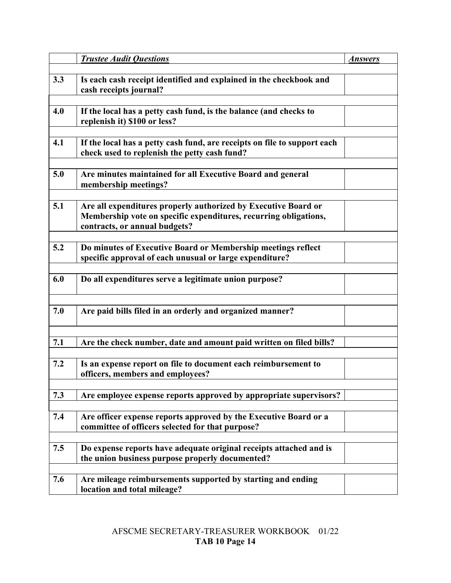|     | <b>Trustee Audit Questions</b>                                                                                                                                      | <b>Answers</b> |
|-----|---------------------------------------------------------------------------------------------------------------------------------------------------------------------|----------------|
| 3.3 | Is each cash receipt identified and explained in the checkbook and<br>cash receipts journal?                                                                        |                |
| 4.0 | If the local has a petty cash fund, is the balance (and checks to<br>replenish it) \$100 or less?                                                                   |                |
| 4.1 | If the local has a petty cash fund, are receipts on file to support each<br>check used to replenish the petty cash fund?                                            |                |
| 5.0 | Are minutes maintained for all Executive Board and general<br>membership meetings?                                                                                  |                |
| 5.1 | Are all expenditures properly authorized by Executive Board or<br>Membership vote on specific expenditures, recurring obligations,<br>contracts, or annual budgets? |                |
| 5.2 | Do minutes of Executive Board or Membership meetings reflect<br>specific approval of each unusual or large expenditure?                                             |                |
| 6.0 | Do all expenditures serve a legitimate union purpose?                                                                                                               |                |
| 7.0 | Are paid bills filed in an orderly and organized manner?                                                                                                            |                |
| 7.1 | Are the check number, date and amount paid written on filed bills?                                                                                                  |                |
| 7.2 | Is an expense report on file to document each reimbursement to<br>officers, members and employees?                                                                  |                |
| 7.3 | Are employee expense reports approved by appropriate supervisors?                                                                                                   |                |
| 7.4 | Are officer expense reports approved by the Executive Board or a<br>committee of officers selected for that purpose?                                                |                |
| 7.5 | Do expense reports have adequate original receipts attached and is<br>the union business purpose properly documented?                                               |                |
| 7.6 | Are mileage reimbursements supported by starting and ending<br>location and total mileage?                                                                          |                |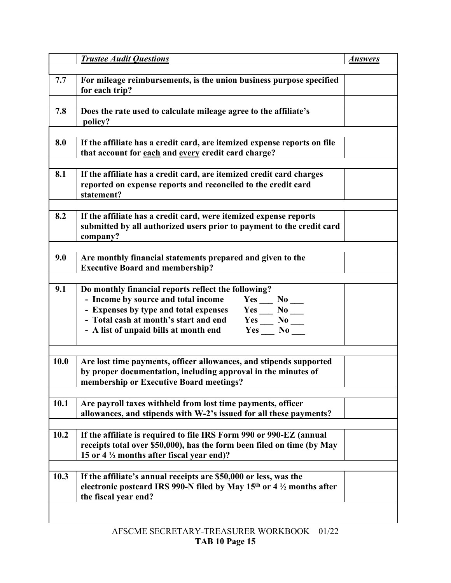|             | <b>Trustee Audit Questions</b>                                                                                                                                                                                                                                                                    | <b>Answers</b> |
|-------------|---------------------------------------------------------------------------------------------------------------------------------------------------------------------------------------------------------------------------------------------------------------------------------------------------|----------------|
| 7.7         | For mileage reimbursements, is the union business purpose specified<br>for each trip?                                                                                                                                                                                                             |                |
| 7.8         | Does the rate used to calculate mileage agree to the affiliate's<br>policy?                                                                                                                                                                                                                       |                |
| 8.0         | If the affiliate has a credit card, are itemized expense reports on file<br>that account for each and every credit card charge?                                                                                                                                                                   |                |
| 8.1         | If the affiliate has a credit card, are itemized credit card charges<br>reported on expense reports and reconciled to the credit card<br>statement?                                                                                                                                               |                |
| 8.2         | If the affiliate has a credit card, were itemized expense reports<br>submitted by all authorized users prior to payment to the credit card<br>company?                                                                                                                                            |                |
| 9.0         | Are monthly financial statements prepared and given to the<br><b>Executive Board and membership?</b>                                                                                                                                                                                              |                |
| 9.1         | Do monthly financial reports reflect the following?<br>- Income by source and total income<br>$Yes \_\_ No \_\_$<br>- Expenses by type and total expenses<br>$Yes \_\_ No \_\_$<br>- Total cash at month's start and end<br>$Yes \_\_ No \_\_$<br>- A list of unpaid bills at month end<br>Yes No |                |
| <b>10.0</b> | Are lost time payments, officer allowances, and stipends supported<br>by proper documentation, including approval in the minutes of<br>membership or Executive Board meetings?                                                                                                                    |                |
| 10.1        | Are payroll taxes withheld from lost time payments, officer<br>allowances, and stipends with W-2's issued for all these payments?                                                                                                                                                                 |                |
| 10.2        | If the affiliate is required to file IRS Form 990 or 990-EZ (annual<br>receipts total over \$50,000), has the form been filed on time (by May<br>15 or 4 $\frac{1}{2}$ months after fiscal year end)?                                                                                             |                |
| 10.3        | If the affiliate's annual receipts are \$50,000 or less, was the<br>electronic postcard IRS 990-N filed by May 15 <sup>th</sup> or 4 $\frac{1}{2}$ months after<br>the fiscal year end?                                                                                                           |                |
|             |                                                                                                                                                                                                                                                                                                   |                |